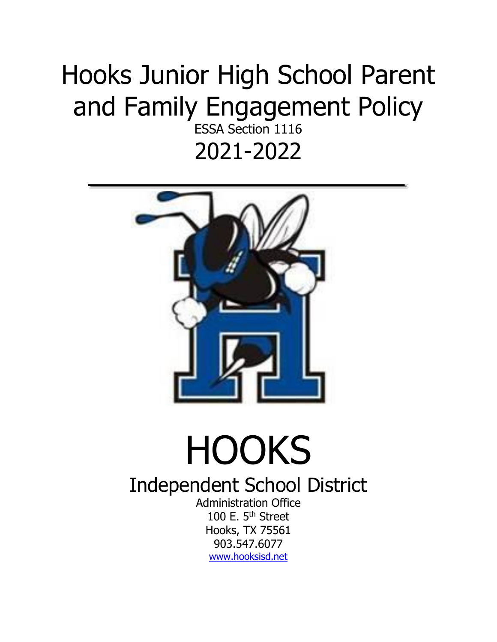## Hooks Junior High School Parent and Family Engagement Policy

ESSA Section 1116 2021-2022



## **HOOKS**

Independent School District

Administration Office 100 E. 5<sup>th</sup> Street Hooks, TX 75561 903.547.6077 [www.hooksisd.net](http://www.hooksisd.net/)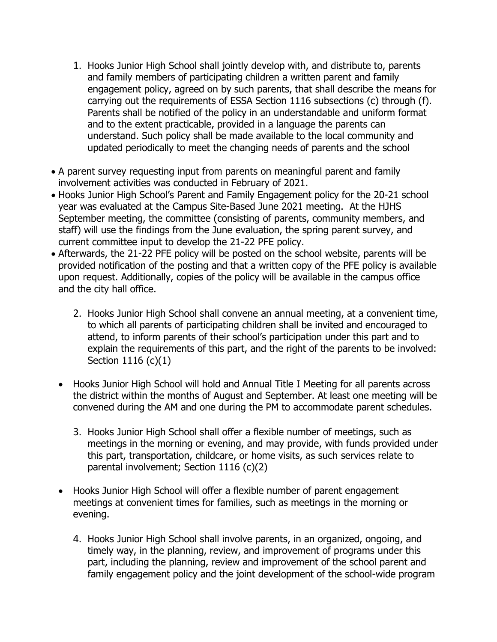- 1. Hooks Junior High School shall jointly develop with, and distribute to, parents and family members of participating children a written parent and family engagement policy, agreed on by such parents, that shall describe the means for carrying out the requirements of ESSA Section 1116 subsections (c) through (f). Parents shall be notified of the policy in an understandable and uniform format and to the extent practicable, provided in a language the parents can understand. Such policy shall be made available to the local community and updated periodically to meet the changing needs of parents and the school
- A parent survey requesting input from parents on meaningful parent and family involvement activities was conducted in February of 2021.
- Hooks Junior High School's Parent and Family Engagement policy for the 20-21 school year was evaluated at the Campus Site-Based June 2021 meeting. At the HJHS September meeting, the committee (consisting of parents, community members, and staff) will use the findings from the June evaluation, the spring parent survey, and current committee input to develop the 21-22 PFE policy.
- Afterwards, the 21-22 PFE policy will be posted on the school website, parents will be provided notification of the posting and that a written copy of the PFE policy is available upon request. Additionally, copies of the policy will be available in the campus office and the city hall office.
	- 2. Hooks Junior High School shall convene an annual meeting, at a convenient time, to which all parents of participating children shall be invited and encouraged to attend, to inform parents of their school's participation under this part and to explain the requirements of this part, and the right of the parents to be involved: Section 1116 (c)(1)
	- Hooks Junior High School will hold and Annual Title I Meeting for all parents across the district within the months of August and September. At least one meeting will be convened during the AM and one during the PM to accommodate parent schedules.
		- 3. Hooks Junior High School shall offer a flexible number of meetings, such as meetings in the morning or evening, and may provide, with funds provided under this part, transportation, childcare, or home visits, as such services relate to parental involvement; Section 1116 (c)(2)
	- Hooks Junior High School will offer a flexible number of parent engagement meetings at convenient times for families, such as meetings in the morning or evening.
		- 4. Hooks Junior High School shall involve parents, in an organized, ongoing, and timely way, in the planning, review, and improvement of programs under this part, including the planning, review and improvement of the school parent and family engagement policy and the joint development of the school-wide program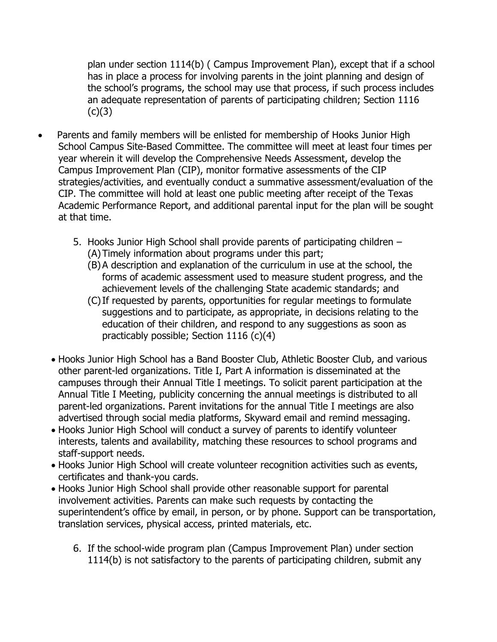plan under section 1114(b) ( Campus Improvement Plan), except that if a school has in place a process for involving parents in the joint planning and design of the school's programs, the school may use that process, if such process includes an adequate representation of parents of participating children; Section 1116  $(c)(3)$ 

- Parents and family members will be enlisted for membership of Hooks Junior High School Campus Site-Based Committee. The committee will meet at least four times per year wherein it will develop the Comprehensive Needs Assessment, develop the Campus Improvement Plan (CIP), monitor formative assessments of the CIP strategies/activities, and eventually conduct a summative assessment/evaluation of the CIP. The committee will hold at least one public meeting after receipt of the Texas Academic Performance Report, and additional parental input for the plan will be sought at that time.
	- 5. Hooks Junior High School shall provide parents of participating children (A)Timely information about programs under this part;
		- (B)A description and explanation of the curriculum in use at the school, the forms of academic assessment used to measure student progress, and the achievement levels of the challenging State academic standards; and
		- (C)If requested by parents, opportunities for regular meetings to formulate suggestions and to participate, as appropriate, in decisions relating to the education of their children, and respond to any suggestions as soon as practicably possible; Section 1116 (c)(4)
	- Hooks Junior High School has a Band Booster Club, Athletic Booster Club, and various other parent-led organizations. Title I, Part A information is disseminated at the campuses through their Annual Title I meetings. To solicit parent participation at the Annual Title I Meeting, publicity concerning the annual meetings is distributed to all parent-led organizations. Parent invitations for the annual Title I meetings are also advertised through social media platforms, Skyward email and remind messaging.
	- Hooks Junior High School will conduct a survey of parents to identify volunteer interests, talents and availability, matching these resources to school programs and staff-support needs.
	- Hooks Junior High School will create volunteer recognition activities such as events, certificates and thank-you cards.
	- Hooks Junior High School shall provide other reasonable support for parental involvement activities. Parents can make such requests by contacting the superintendent's office by email, in person, or by phone. Support can be transportation, translation services, physical access, printed materials, etc.
		- 6. If the school-wide program plan (Campus Improvement Plan) under section 1114(b) is not satisfactory to the parents of participating children, submit any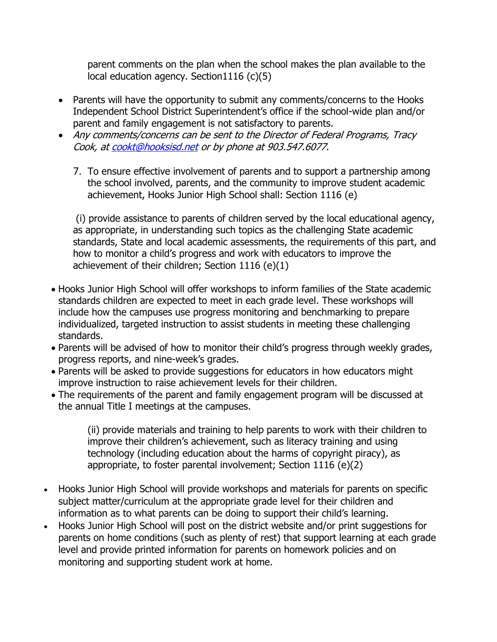parent comments on the plan when the school makes the plan available to the local education agency. Section1116 (c)(5)

- Parents will have the opportunity to submit any comments/concerns to the Hooks Independent School District Superintendent's office if the school-wide plan and/or parent and family engagement is not satisfactory to parents.
- Any comments/concerns can be sent to the Director of Federal Programs, Tracy Cook, a[t cookt@hooksisd.net](mailto:cookt@hooksisd.net) or by phone at 903.547.6077.
	- 7. To ensure effective involvement of parents and to support a partnership among the school involved, parents, and the community to improve student academic achievement, Hooks Junior High School shall: Section 1116 (e)

(i) provide assistance to parents of children served by the local educational agency, as appropriate, in understanding such topics as the challenging State academic standards, State and local academic assessments, the requirements of this part, and how to monitor a child's progress and work with educators to improve the achievement of their children; Section 1116 (e)(1)

- Hooks Junior High School will offer workshops to inform families of the State academic standards children are expected to meet in each grade level. These workshops will include how the campuses use progress monitoring and benchmarking to prepare individualized, targeted instruction to assist students in meeting these challenging standards.
- Parents will be advised of how to monitor their child's progress through weekly grades, progress reports, and nine-week's grades.
- Parents will be asked to provide suggestions for educators in how educators might improve instruction to raise achievement levels for their children.
- The requirements of the parent and family engagement program will be discussed at the annual Title I meetings at the campuses.

(ii) provide materials and training to help parents to work with their children to improve their children's achievement, such as literacy training and using technology (including education about the harms of copyright piracy), as appropriate, to foster parental involvement; Section 1116 (e)(2)

- Hooks Junior High School will provide workshops and materials for parents on specific subject matter/curriculum at the appropriate grade level for their children and information as to what parents can be doing to support their child's learning.
- Hooks Junior High School will post on the district website and/or print suggestions for parents on home conditions (such as plenty of rest) that support learning at each grade level and provide printed information for parents on homework policies and on monitoring and supporting student work at home.